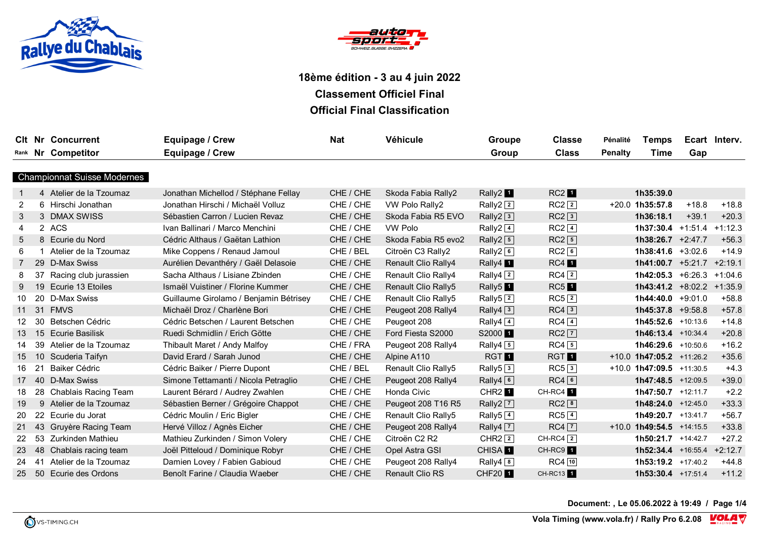



|    |    | <b>CIt Nr Concurrent</b>           | <b>Equipage / Crew</b>                 | <b>Nat</b> | Véhicule                              | Groupe                          | <b>Classe</b>      | Pénalité       | <b>Temps</b>                 |         | Ecart Interv. |
|----|----|------------------------------------|----------------------------------------|------------|---------------------------------------|---------------------------------|--------------------|----------------|------------------------------|---------|---------------|
|    |    | Rank Nr Competitor                 | Equipage / Crew                        |            |                                       | Group                           | <b>Class</b>       | <b>Penalty</b> | Time                         | Gap     |               |
|    |    |                                    |                                        |            |                                       |                                 |                    |                |                              |         |               |
|    |    | <b>Championnat Suisse Modernes</b> |                                        |            |                                       |                                 |                    |                |                              |         |               |
|    |    | 4 Atelier de la Tzoumaz            | Jonathan Michellod / Stéphane Fellay   | CHE / CHE  | Skoda Fabia Rally2                    | Rally2 <sup>1</sup>             | RC2                |                | 1h35:39.0                    |         |               |
| 2  |    | 6 Hirschi Jonathan                 | Jonathan Hirschi / Michaël Volluz      | CHE / CHE  | VW Polo Rally2                        | Rally2 $2$                      | $RC2$ <sup>2</sup> |                | $+20.0$ 1h35:57.8            | $+18.8$ | $+18.8$       |
| 3  |    | 3 DMAX SWISS                       | Sébastien Carron / Lucien Revaz        | CHE / CHE  | Skoda Fabia R5 EVO                    | Rally2 $3$                      | $RC2\sqrt{3}$      |                | 1h36:18.1                    | $+39.1$ | $+20.3$       |
| 4  |    | 2 ACS                              | Ivan Ballinari / Marco Menchini        | CHE / CHE  | <b>VW Polo</b>                        | Rally2 $4$                      | $RC2$ $\boxed{4}$  |                | $1h37:30.4$ +1:51.4          |         | $+1:12.3$     |
| 5  |    | 8 Ecurie du Nord                   | Cédric Althaus / Gaëtan Lathion        | CHE / CHE  | Skoda Fabia R5 evo2                   | Rally2 $\boxed{5}$              | $RC2$ 5            |                | $1h38:26.7 +2:47.7$          |         | $+56.3$       |
| 6  |    | 1 Atelier de la Tzoumaz            | Mike Coppens / Renaud Jamoul           | CHE / BEL  | Citroën C3 Rally2                     | Rally2 $6$                      | $RC2$ <sup>6</sup> |                | $1h38:41.6$ +3:02.6          |         | $+14.9$       |
|    |    | 29 D-Max Swiss                     | Aurélien Devanthéry / Gaël Delasoie    | CHE / CHE  | <b>Renault Clio Rally4</b>            | Rally4 <sup>1</sup>             | RC4                |                | $1h41:00.7$ +5:21.7          |         | $+2:19.1$     |
| 8  | 37 | Racing club jurassien              | Sacha Althaus / Lisiane Zbinden        | CHE / CHE  | <b>Renault Clio Rally4</b>            | Rally $\boxed{2}$               | $RC4$ $\boxed{2}$  |                | $1h42:05.3 +6:26.3$          |         | $+1:04.6$     |
| 9  |    | 19 Ecurie 13 Etoiles               | Ismaël Vuistiner / Florine Kummer      | CHE / CHE  | <b>Renault Clio Rally5</b>            | Rally <sub>5</sub> <sup>1</sup> | $RC5$ <sup>1</sup> |                | $1h43:41.2$ +8:02.2 +1:35.9  |         |               |
| 10 |    | 20 D-Max Swiss                     | Guillaume Girolamo / Benjamin Bétrisey | CHE / CHE  | Renault Clio Rally5                   | Rally <sub>5</sub> $2$          | $RC5$ <sup>2</sup> |                | $1h44:40.0 +9:01.0$          |         | $+58.8$       |
| 11 |    | 31 FMVS                            | Michaël Droz / Charlène Bori           | CHE / CHE  | Peugeot 208 Rally4                    | Rally4 $3$                      | $RC4\sqrt{3}$      |                | $1h45:37.8$ +9:58.8          |         | $+57.8$       |
| 12 |    | 30 Betschen Cédric                 | Cédric Betschen / Laurent Betschen     | CHE / CHE  | Peugeot 208                           | Rally4 $\boxed{4}$              | $RC4$ 4            |                | 1h45:52.6 +10:13.6           |         | $+14.8$       |
| 13 | 15 | <b>Ecurie Basilisk</b>             | Ruedi Schmidlin / Erich Götte          | CHE / CHE  | Ford Fiesta S2000                     | S2000 <sup>1</sup>              | $RC2$ $\boxed{7}$  |                | 1h46:13.4 +10:34.4           |         | $+20.8$       |
| 14 | 39 | Atelier de la Tzoumaz              | Thibault Maret / Andy Malfoy           | CHE / FRA  | Peugeot 208 Rally4                    | Rally4 $\boxed{5}$              | $RC4\sqrt{5}$      |                | 1h46:29.6 +10:50.6           |         | $+16.2$       |
| 15 | 10 | Scuderia Taifyn                    | David Erard / Sarah Junod              | CHE / CHE  | Alpine A110                           | <b>RGT</b>                      | <b>RGT</b>         |                | $+10.0$ 1h47:05.2 $+11:26.2$ |         | $+35.6$       |
| 16 | 21 | Baiker Cédric                      | Cédric Baiker / Pierre Dupont          | CHE / BEL  | <b>Renault Clio Rally5</b>            | Rally $5\overline{3}$           | $RC5\sqrt{3}$      |                | $+10.0$ 1h47:09.5 $+11:30.5$ |         | $+4.3$        |
| 17 |    | 40 D-Max Swiss                     | Simone Tettamanti / Nicola Petraglio   | CHE / CHE  | Peugeot 208 Rally4                    | Rally4 $\boxed{6}$              | $RC4$ <sup>6</sup> |                | $1h47:48.5$ +12:09.5         |         | $+39.0$       |
| 18 |    | 28 Chablais Racing Team            | Laurent Bérard / Audrey Zwahlen        | CHE / CHE  | Honda Civic                           | CHR <sub>2</sub> <sup>1</sup>   | CH-RC4 1           |                | 1h47:50.7 +12:11.7           |         | $+2.2$        |
| 19 |    | 9 Atelier de la Tzoumaz            | Sébastien Berner / Grégoire Chappot    | CHE / CHE  | Peugeot 208 T16 R5                    | Rally2 $\boxed{7}$              | $RC2$ <sup>8</sup> |                | 1h48:24.0 +12:45.0           |         | $+33.3$       |
| 20 |    | 22 Ecurie du Jorat                 | Cédric Moulin / Eric Bigler            | CHE / CHE  | Renault Clio Rally5                   | Rally <sub>5</sub> $4$          | $RC5\sqrt{4}$      |                | 1h49:20.7 +13:41.7           |         | $+56.7$       |
| 21 | 43 | Gruyère Racing Team                | Hervé Villoz / Agnès Eicher            | CHE / CHE  | Peugeot 208 Rally4                    | Rally4 $\boxed{7}$              | $RC4$ $\boxed{7}$  |                | $+10.0$ 1h49:54.5 $+14:15.5$ |         | $+33.8$       |
| 22 |    | 53 Zurkinden Mathieu               | Mathieu Zurkinden / Simon Volery       | CHE / CHE  | Citroën C <sub>2</sub> R <sub>2</sub> | $CHR2$ <sup>2</sup>             | CH-RC4 $\boxed{2}$ |                | $1h50:21.7$ +14:42.7         |         | $+27.2$       |
| 23 |    | 48 Chablais racing team            | Joël Pitteloud / Dominique Robyr       | CHE / CHE  | Opel Astra GSI                        | CHISA <sup>1</sup>              | CH-RC9 1           |                | $1h52:34.4$ +16:55.4 +2:12.7 |         |               |
| 24 | 41 | Atelier de la Tzoumaz              | Damien Lovey / Fabien Gabioud          | CHE / CHE  | Peugeot 208 Rally4                    | Rally4 $\boxed{8}$              | $RC4$ $10$         |                | 1h53:19.2 +17:40.2           |         | $+44.8$       |
| 25 | 50 | Ecurie des Ordons                  | Benoît Farine / Claudia Waeber         | CHE / CHE  | <b>Renault Clio RS</b>                | <b>CHF201</b>                   | CH-RC13 1          |                | $1h53:30.4$ +17:51.4         |         | $+11.2$       |

**Document: , Le 05.06.2022 à 19:49 / Page 1/4**

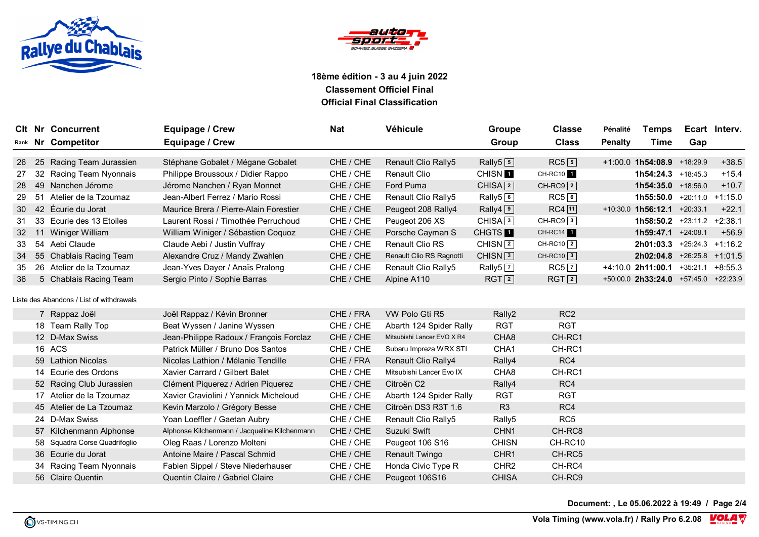



|    |    | <b>CIt Nr Concurrent</b>                 | <b>Equipage / Crew</b>                        | <b>Nat</b> | Véhicule                   | Groupe                         | <b>Classe</b>          | Pénalité       | <b>Temps</b>                               |                      | Ecart Interv. |
|----|----|------------------------------------------|-----------------------------------------------|------------|----------------------------|--------------------------------|------------------------|----------------|--------------------------------------------|----------------------|---------------|
|    |    | Rank Nr Competitor                       | Equipage / Crew                               |            |                            | Group                          | <b>Class</b>           | <b>Penalty</b> | <b>Time</b>                                | Gap                  |               |
| 26 |    | 25 Racing Team Jurassien                 | Stéphane Gobalet / Mégane Gobalet             | CHE / CHE  | Renault Clio Rally5        | Rally $5\overline{5}$          | $RC5$ <sup>5</sup>     |                | $+1:00.0$ 1h54:08.9 $+18:29.9$             |                      | $+38.5$       |
| 27 |    | 32 Racing Team Nyonnais                  | Philippe Broussoux / Didier Rappo             | CHE / CHE  | <b>Renault Clio</b>        | CHISN <sup>1</sup>             | CH-RC10 1              |                | 1h54:24.3 +18:45.3                         |                      | $+15.4$       |
| 28 |    | 49 Nanchen Jérome                        | Jérome Nanchen / Ryan Monnet                  | CHE / CHE  | Ford Puma                  | CHISA $\boxed{2}$              | $CH-RC9$ <sup>2</sup>  |                | 1h54:35.0 +18:56.0                         |                      | $+10.7$       |
| 29 | 51 | Atelier de la Tzoumaz                    | Jean-Albert Ferrez / Mario Rossi              | CHE / CHE  | Renault Clio Rally5        | Rally5 <sup>6</sup>            | $RC5$ <sup>6</sup>     |                | $1h55:50.0$ +20:11.0                       |                      | $+1:15.0$     |
| 30 |    | 42 Écurie du Jorat                       | Maurice Brera / Pierre-Alain Forestier        | CHE / CHE  | Peugeot 208 Rally4         | Rally4 <sup>9</sup>            | $RC4$ [11]             |                | $+10:30.0$ 1h56:12.1 $+20:33.1$            |                      | $+22.1$       |
| 31 | 33 | Ecurie des 13 Etoiles                    | Laurent Rossi / Timothée Perruchoud           | CHE / CHE  | Peugeot 206 XS             | CHISA <sub>3</sub>             | $CH-RC9$ <sup>3</sup>  |                | <b>1h58:50.2</b> +23:11.2                  |                      | $+2:38.1$     |
| 32 | 11 | Winiger William                          | William Winiger / Sébastien Coquoz            | CHE / CHE  | Porsche Cayman S           | CHGTS <sup>1</sup>             | CH-RC14 1              |                | 1h59:47.1 +24:08.1                         |                      | $+56.9$       |
| 33 |    | 54 Aebi Claude                           | Claude Aebi / Justin Vuffray                  | CHE / CHE  | <b>Renault Clio RS</b>     | CHISN $\sqrt{2}$               | $CH-RC10$ <sup>2</sup> |                | $2h01:03.3$ +25:24.3 +1:16.2               |                      |               |
| 34 |    | 55 Chablais Racing Team                  | Alexandre Cruz / Mandy Zwahlen                | CHE / CHE  | Renault Clio RS Ragnotti   | CHISN <sup>3</sup>             | $CH-RC10$ 3            |                | $2h02:04.8$ +26:25.8 +1:01.5               |                      |               |
| 35 |    | 26 Atelier de la Tzoumaz                 | Jean-Yves Dayer / Anaïs Pralong               | CHE / CHE  | Renault Clio Rally5        | Rally <sub>5</sub> $\boxed{7}$ | $RC5$ $\boxed{7}$      |                | +4:10.0 2h11:00.1                          | $+35:21.1$ $+8:55.3$ |               |
| 36 |    | 5 Chablais Racing Team                   | Sergio Pinto / Sophie Barras                  | CHE / CHE  | Alpine A110                | RGT[2]                         | RGT[2]                 |                | $+50:00.0$ 2h33:24.0 $+57:45.0$ $+22:23.9$ |                      |               |
|    |    |                                          |                                               |            |                            |                                |                        |                |                                            |                      |               |
|    |    | Liste des Abandons / List of withdrawals |                                               |            |                            |                                |                        |                |                                            |                      |               |
|    |    | 7 Rappaz Joël                            | Joël Rappaz / Kévin Bronner                   | CHE / FRA  | VW Polo Gti R5             | Rally2                         | RC <sub>2</sub>        |                |                                            |                      |               |
|    |    | 18 Team Rally Top                        | Beat Wyssen / Janine Wyssen                   | CHE / CHE  | Abarth 124 Spider Rally    | <b>RGT</b>                     | <b>RGT</b>             |                |                                            |                      |               |
|    |    | 12 D-Max Swiss                           | Jean-Philippe Radoux / François Forclaz       | CHE / CHE  | Mitsubishi Lancer EVO X R4 | CHA <sub>8</sub>               | CH-RC1                 |                |                                            |                      |               |
|    |    | 16 ACS                                   | Patrick Müller / Bruno Dos Santos             | CHE / CHE  | Subaru Impreza WRX STI     | CHA1                           | CH-RC1                 |                |                                            |                      |               |
|    |    | 59 Lathion Nicolas                       | Nicolas Lathion / Mélanie Tendille            | CHE / FRA  | Renault Clio Rally4        | Rally4                         | RC4                    |                |                                            |                      |               |
|    |    | 14 Ecurie des Ordons                     | Xavier Carrard / Gilbert Balet                | CHE / CHE  | Mitsubishi Lancer Evo IX   | CHA8                           | CH-RC1                 |                |                                            |                      |               |
|    |    | 52 Racing Club Jurassien                 | Clément Piquerez / Adrien Piquerez            | CHE / CHE  | Citroën C <sub>2</sub>     | Rally4                         | RC4                    |                |                                            |                      |               |
|    |    | 17 Atelier de la Tzoumaz                 | Xavier Craviolini / Yannick Micheloud         | CHE / CHE  | Abarth 124 Spider Rally    | <b>RGT</b>                     | <b>RGT</b>             |                |                                            |                      |               |
|    |    | 45 Atelier de La Tzoumaz                 | Kevin Marzolo / Grégory Besse                 | CHE / CHE  | Citroën DS3 R3T 1.6        | R <sub>3</sub>                 | RC4                    |                |                                            |                      |               |
|    |    | 24 D-Max Swiss                           | Yoan Loeffler / Gaetan Aubry                  | CHE / CHE  | Renault Clio Rally5        | Rally <sub>5</sub>             | RC <sub>5</sub>        |                |                                            |                      |               |
|    |    | 57 Kilchenmann Alphonse                  | Alphonse Kilchenmann / Jacqueline Kilchenmann | CHE / CHE  | Suzuki Swift               | CHN <sub>1</sub>               | CH-RC8                 |                |                                            |                      |               |
|    |    | 58 Squadra Corse Quadrifoglio            | Oleg Raas / Lorenzo Molteni                   | CHE / CHE  | Peugeot 106 S16            | <b>CHISN</b>                   | CH-RC10                |                |                                            |                      |               |
|    |    | 36 Ecurie du Jorat                       | Antoine Maire / Pascal Schmid                 | CHE / CHE  | Renault Twingo             | CHR1                           | CH-RC5                 |                |                                            |                      |               |
|    |    | 34 Racing Team Nyonnais                  | Fabien Sippel / Steve Niederhauser            | CHE / CHE  | Honda Civic Type R         | CHR <sub>2</sub>               | CH-RC4                 |                |                                            |                      |               |
|    |    | 56 Claire Quentin                        | Quentin Claire / Gabriel Claire               | CHE / CHE  | Peugeot 106S16             | <b>CHISA</b>                   | CH-RC9                 |                |                                            |                      |               |

**Document: , Le 05.06.2022 à 19:49 / Page 2/4**

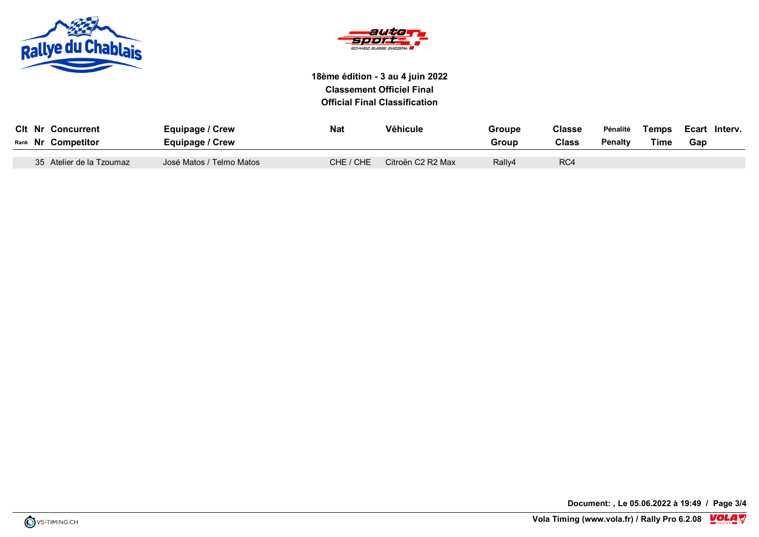



| <b>CIt Nr Concurrent</b><br>Rank Nr Competitor | Equipage / Crew<br>Equipage / Crew | <b>Nat</b> | Véhicule          | Groupe<br>Group | <b>Classe</b><br>Class | Pénalité<br><b>Penalty</b> | Temps<br><b>Time</b> | Ecart Interv.<br>Gap |  |
|------------------------------------------------|------------------------------------|------------|-------------------|-----------------|------------------------|----------------------------|----------------------|----------------------|--|
| 35 Atelier de la Tzoumaz                       | José Matos / Telmo Matos           | CHE / CHE  | Citroën C2 R2 Max | Rally4          | RC4                    |                            |                      |                      |  |

**Document: , Le 05.06.2022 à 19:49 / Page 3/4**